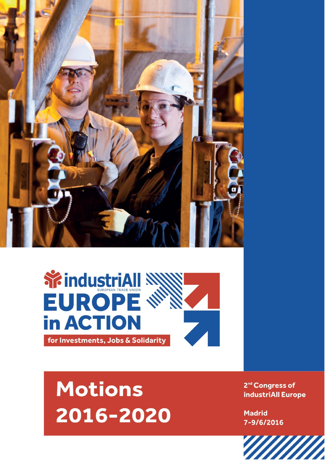



## **Motions** 2016-2020

2<sup>nd</sup> Congress of industriAll Europe

**Madrid** 7-9/6/2016